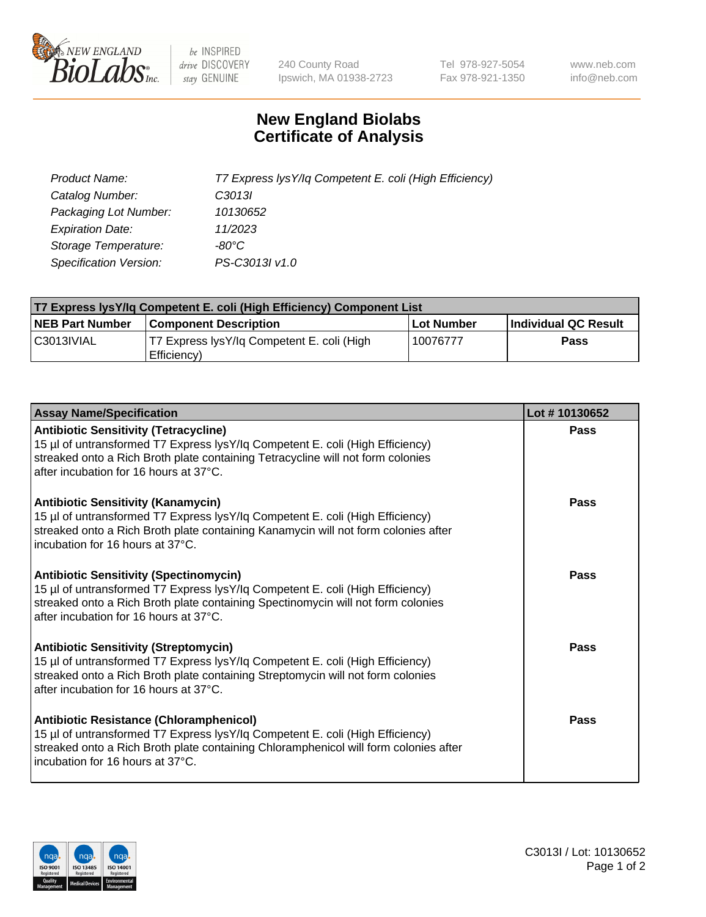

 $be$  INSPIRED drive DISCOVERY stay GENUINE

240 County Road Ipswich, MA 01938-2723 Tel 978-927-5054 Fax 978-921-1350 www.neb.com info@neb.com

## **New England Biolabs Certificate of Analysis**

| Product Name:                 | T7 Express lysY/lq Competent E. coli (High Efficiency) |
|-------------------------------|--------------------------------------------------------|
| Catalog Number:               | C <sub>3013</sub>                                      |
| Packaging Lot Number:         | 10130652                                               |
| <b>Expiration Date:</b>       | 11/2023                                                |
| Storage Temperature:          | $-80^{\circ}$ C                                        |
| <b>Specification Version:</b> | PS-C3013I v1.0                                         |

| T7 Express lysY/lq Competent E. coli (High Efficiency) Component List |                                                           |            |                      |  |
|-----------------------------------------------------------------------|-----------------------------------------------------------|------------|----------------------|--|
| <b>NEB Part Number</b>                                                | <b>Component Description</b>                              | Lot Number | Individual QC Result |  |
| C3013IVIAL                                                            | T7 Express lysY/lg Competent E. coli (High<br>Efficiency) | 10076777   | <b>Pass</b>          |  |

| <b>Assay Name/Specification</b>                                                                                                                                                                                                                              | Lot #10130652 |
|--------------------------------------------------------------------------------------------------------------------------------------------------------------------------------------------------------------------------------------------------------------|---------------|
| <b>Antibiotic Sensitivity (Tetracycline)</b><br>15 µl of untransformed T7 Express lysY/lq Competent E. coli (High Efficiency)<br>streaked onto a Rich Broth plate containing Tetracycline will not form colonies<br>after incubation for 16 hours at 37°C.   | Pass          |
| <b>Antibiotic Sensitivity (Kanamycin)</b><br>15 µl of untransformed T7 Express lysY/lq Competent E. coli (High Efficiency)<br>streaked onto a Rich Broth plate containing Kanamycin will not form colonies after<br>incubation for 16 hours at 37°C.         | Pass          |
| <b>Antibiotic Sensitivity (Spectinomycin)</b><br>15 µl of untransformed T7 Express lysY/lq Competent E. coli (High Efficiency)<br>streaked onto a Rich Broth plate containing Spectinomycin will not form colonies<br>after incubation for 16 hours at 37°C. | Pass          |
| <b>Antibiotic Sensitivity (Streptomycin)</b><br>15 µl of untransformed T7 Express lysY/lq Competent E. coli (High Efficiency)<br>streaked onto a Rich Broth plate containing Streptomycin will not form colonies<br>after incubation for 16 hours at 37°C.   | Pass          |
| Antibiotic Resistance (Chloramphenicol)<br>15 µl of untransformed T7 Express lysY/lq Competent E. coli (High Efficiency)<br>streaked onto a Rich Broth plate containing Chloramphenicol will form colonies after<br>Incubation for 16 hours at 37°C.         | Pass          |